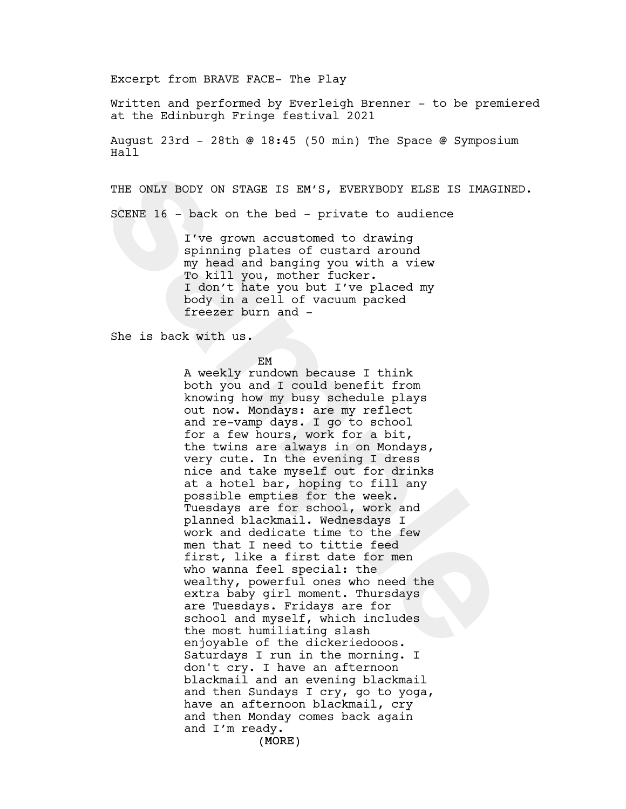Excerpt from BRAVE FACE- The Play

Written and performed by Everleigh Brenner - to be premiered at the Edinburgh Fringe festival 2021

August 23rd - 28th @ 18:45 (50 min) The Space @ Symposium Hall

THE ONLY BODY ON STAGE IS EM'S, EVERYBODY ELSE IS IMAGINED.

SCENE 16 - back on the bed - private to audience

I've grown accustomed to drawing spinning plates of custard around my head and banging you with a view To kill you, mother fucker. I don't hate you but I've placed my body in a cell of vacuum packed freezer burn and -

She is back with us.

EM

THE ONLY BODY ON STAGE IS EM'S, EVERYBODY ELSE IS IMAGI<br>
SCENE 16 - back on the bed - private to audience<br>
I've grown accustomed to drawing<br>
my heirling plates of custard around<br>
my heirling plates of custard around<br>
my he A weekly rundown because I think both you and I could benefit from knowing how my busy schedule plays out now. Mondays: are my reflect and re-vamp days. I go to school for a few hours, work for a bit, the twins are always in on Mondays, very cute. In the evening I dress nice and take myself out for drinks at a hotel bar, hoping to fill any possible empties for the week. Tuesdays are for school, work and planned blackmail. Wednesdays I work and dedicate time to the few men that I need to tittie feed first, like a first date for men who wanna feel special: the wealthy, powerful ones who need the extra baby girl moment. Thursdays are Tuesdays. Fridays are for school and myself, which includes the most humiliating slash enjoyable of the dickeriedooos. Saturdays I run in the morning. I don't cry. I have an afternoon blackmail and an evening blackmail and then Sundays I cry, go to yoga, have an afternoon blackmail, cry and then Monday comes back again and I'm ready.

(MORE)